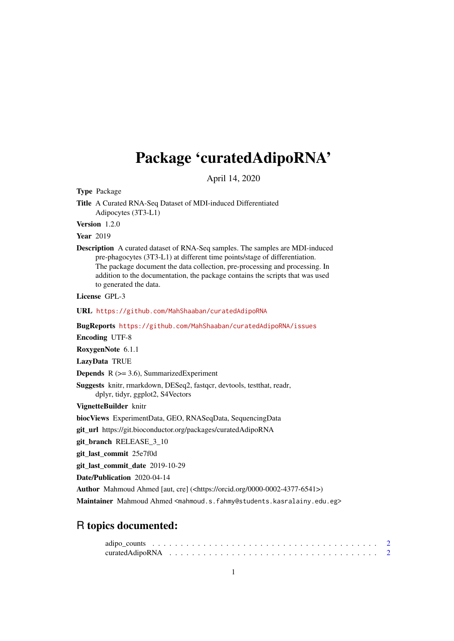## Package 'curatedAdipoRNA'

April 14, 2020

Type Package

Title A Curated RNA-Seq Dataset of MDI-induced Differentiated Adipocytes (3T3-L1)

Version 1.2.0

**Year** 2019

Description A curated dataset of RNA-Seq samples. The samples are MDI-induced pre-phagocytes (3T3-L1) at different time points/stage of differentiation. The package document the data collection, pre-processing and processing. In addition to the documentation, the package contains the scripts that was used to generated the data.

License GPL-3

URL <https://github.com/MahShaaban/curatedAdipoRNA>

BugReports <https://github.com/MahShaaban/curatedAdipoRNA/issues>

Encoding UTF-8

RoxygenNote 6.1.1

LazyData TRUE

**Depends**  $R$  ( $>= 3.6$ ), SummarizedExperiment

Suggests knitr, rmarkdown, DESeq2, fastqcr, devtools, testthat, readr, dplyr, tidyr, ggplot2, S4Vectors

VignetteBuilder knitr

biocViews ExperimentData, GEO, RNASeqData, SequencingData

git\_url https://git.bioconductor.org/packages/curatedAdipoRNA

git\_branch RELEASE\_3\_10

git\_last\_commit 25e7f0d

git last commit date 2019-10-29

Date/Publication 2020-04-14

Author Mahmoud Ahmed [aut, cre] (<https://orcid.org/0000-0002-4377-6541>)

Maintainer Mahmoud Ahmed <mahmoud.s.fahmy@students.kasralainy.edu.eg>

### R topics documented:

| curated AdipoRNA $\ldots \ldots \ldots \ldots \ldots \ldots \ldots \ldots \ldots \ldots \ldots \ldots \ldots$ |  |  |  |  |  |  |  |  |  |  |  |  |  |  |  |  |  |  |
|---------------------------------------------------------------------------------------------------------------|--|--|--|--|--|--|--|--|--|--|--|--|--|--|--|--|--|--|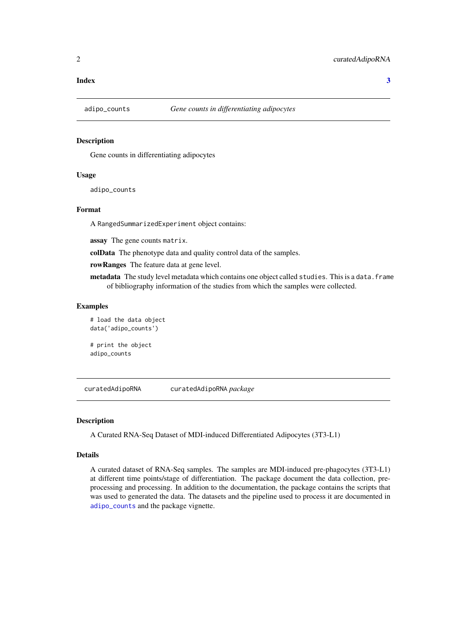#### <span id="page-1-0"></span>**Index** [3](#page-2-0)

<span id="page-1-1"></span>

#### Description

Gene counts in differentiating adipocytes

#### Usage

adipo\_counts

#### Format

A RangedSummarizedExperiment object contains:

assay The gene counts matrix.

colData The phenotype data and quality control data of the samples.

rowRanges The feature data at gene level.

metadata The study level metadata which contains one object called studies. This is a data.frame of bibliography information of the studies from which the samples were collected.

#### Examples

# load the data object data('adipo\_counts')

# print the object adipo\_counts

curatedAdipoRNA curatedAdipoRNA *package*

#### Description

A Curated RNA-Seq Dataset of MDI-induced Differentiated Adipocytes (3T3-L1)

#### Details

A curated dataset of RNA-Seq samples. The samples are MDI-induced pre-phagocytes (3T3-L1) at different time points/stage of differentiation. The package document the data collection, preprocessing and processing. In addition to the documentation, the package contains the scripts that was used to generated the data. The datasets and the pipeline used to process it are documented in [adipo\\_counts](#page-1-1) and the package vignette.